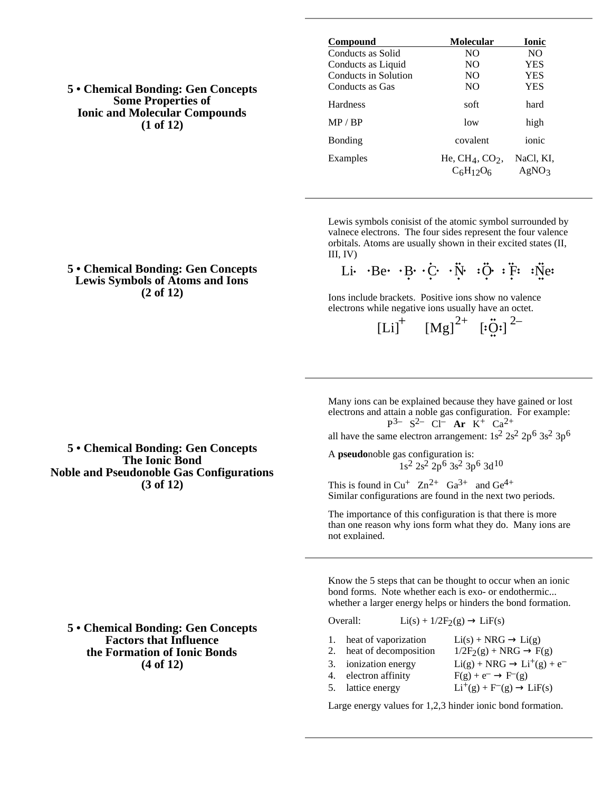**5 • Chemical Bonding: Gen Concepts Some Properties of Ionic and Molecular Compounds (1 of 12)**

| Compound             | Molecular                          | <b>Ionic</b>       |
|----------------------|------------------------------------|--------------------|
| Conducts as Solid    | NO.                                | NO.                |
| Conducts as Liquid   | NO.                                | YES                |
| Conducts in Solution | NO.                                | YES                |
| Conducts as Gas      | NO.                                | YES                |
| Hardness             | soft                               | hard               |
| MP / RP              | low                                | high               |
| <b>Bonding</b>       | covalent                           | ionic              |
| Examples             | He, $CH_4$ , $CO_2$ ,<br>$C6H12O6$ | NaCl, KI,<br>AgNO3 |

Lewis symbols conisist of the atomic symbol surrounded by valnece electrons. The four sides represent the four valence orbitals. Atoms are usually shown in their excited states (II,  $III. IV$ 

Li Be B C N C F F Ne

Ions include brackets. Positive ions show no valence electrons while negative ions usually have an octet.

 $[Li]$ <sup>+</sup>  $[Mg]$ <sup>2+</sup>  $[i\ddot{Q}$ <sup>2</sup><sup>2</sup>

Many ions can be explained because they have gained or lost electrons and attain a noble gas configuration. For example:

P 3– S2– Cl– **Ar** K+ Ca2+ all have the same electron arrangement:  $1s^2 2s^2 2p^6 3s^2 3p^6$ 

A **pseudo**noble gas configuration is: 1s2 2s2 2p6 3s2 3p6 3d10

This is found in  $Cu^+$   $Zn^{2+}$   $Ga^{3+}$  and  $Ge^{4+}$ Similar configurations are found in the next two periods.

The importance of this configuration is that there is more than one reason why ions form what they do. Many ions are not explained.

Know the 5 steps that can be thought to occur when an ionic bond forms. Note whether each is exo- or endothermic... whether a larger energy helps or hinders the bond formation.

#### Overall:  $Li(s) + 1/2F_2(g)$   $LiF(s)$

- 1. heat of vaporization  $Li(s) + NRG$   $Li(g)$ 2. heat of decomposition  $1/2F_2(g) + NRG$  F(g) 3. ionization energy  $Li(g) + NRG$   $Li^+(g) + e^-$
- 4. electron affinity  $F(g) + e^ F^-(g)$
- 5. lattice energy  $Li^+(g) + F^-(g)$  LiF(s)
	-

Large energy values for 1,2,3 hinder ionic bond formation.

# **Lewis Symbols of Atoms and Ions (2 of 12)**

**5 • Chemical Bonding: Gen Concepts**

**5 • Chemical Bonding: Gen Concepts The Ionic Bond Noble and Pseudonoble Gas Configurations (3 of 12)**

**5 • Chemical Bonding: Gen Concepts Factors that Influence the Formation of Ionic Bonds (4 of 12)**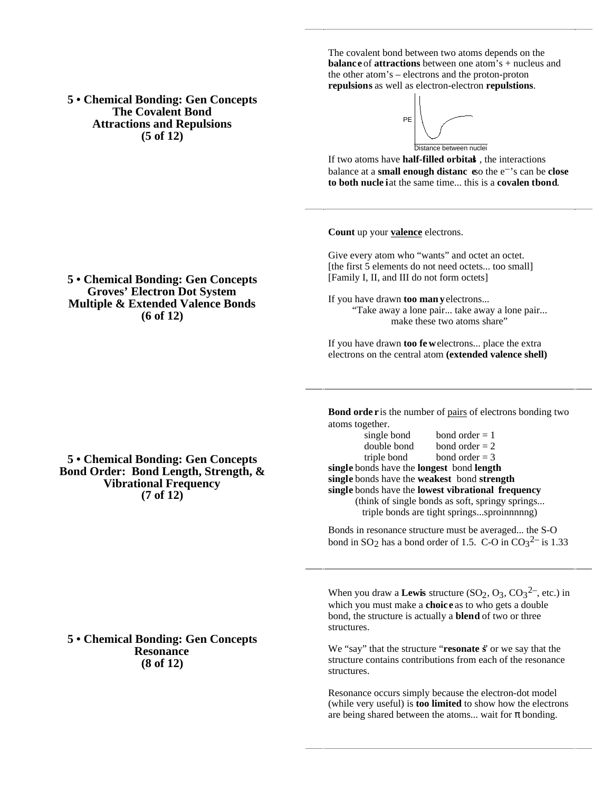**5 • Chemical Bonding: Gen Concepts The Covalent Bond Attractions and Repulsions (5 of 12)**

The covalent bond between two atoms depends on the **balanc e** of **attractions** between one atom's + nucleus and the other atom's – electrons and the proton-proton **repulsions** as well as electron-electron **repulstions**.



If two atoms have **half-filled orbital**, the interactions balance at a **small enough distanc** so the  $e^{-t}$  can be **close to both nucle** iat the same time... this is a **covalen tbond**.

**Count** up your **valence** electrons.

Give every atom who "wants" and octet an octet. [the first 5 elements do not need octets... too small] [Family I, II, and III do not form octets]

If you have drawn **too man y** electrons... "Take away a lone pair... take away a lone pair... make these two atoms share"

If you have drawn **too few** electrons... place the extra electrons on the central atom **(extended valence shell)**

**Bond orde r** is the number of pairs of electrons bonding two atoms together.

| single bond                                        | bond order $= 1$ |  |
|----------------------------------------------------|------------------|--|
| double bond                                        | bond order $= 2$ |  |
| triple bond                                        | bond order $=$ 3 |  |
| single bonds have the longest bond length          |                  |  |
| single bonds have the weakest bond strength        |                  |  |
| single bonds have the lowest vibrational frequency |                  |  |
| (think of single bonds as soft, springy springs)   |                  |  |
| triple bonds are tight springssproinnnnng)         |                  |  |

Bonds in resonance structure must be averaged... the S-O bond in  $SO_2$  has a bond order of 1.5. C-O in  $CO_3^{2-}$  is 1.33

When you draw a **Lewis** structure  $(SO_2, O_3, CO_3^{2-}$ , etc.) in which you must make a **choic e** as to who gets a double bond, the structure is actually a **blend** of two or three structures.

We "say" that the structure "**resonate s**" or we say that the structure contains contributions from each of the resonance structures.

Resonance occurs simply because the electron-dot model (while very useful) is **too limited** to show how the electrons are being shared between the atoms... wait for bonding.

# **5 • Chemical Bonding: Gen Concepts Groves' Electron Dot System Multiple & Extended Valence Bonds (6 of 12)**

# **5 • Chemical Bonding: Gen Concepts Bond Order: Bond Length, Strength, & Vibrational Frequency (7 of 12)**

## **5 • Chemical Bonding: Gen Concepts Resonance (8 of 12)**